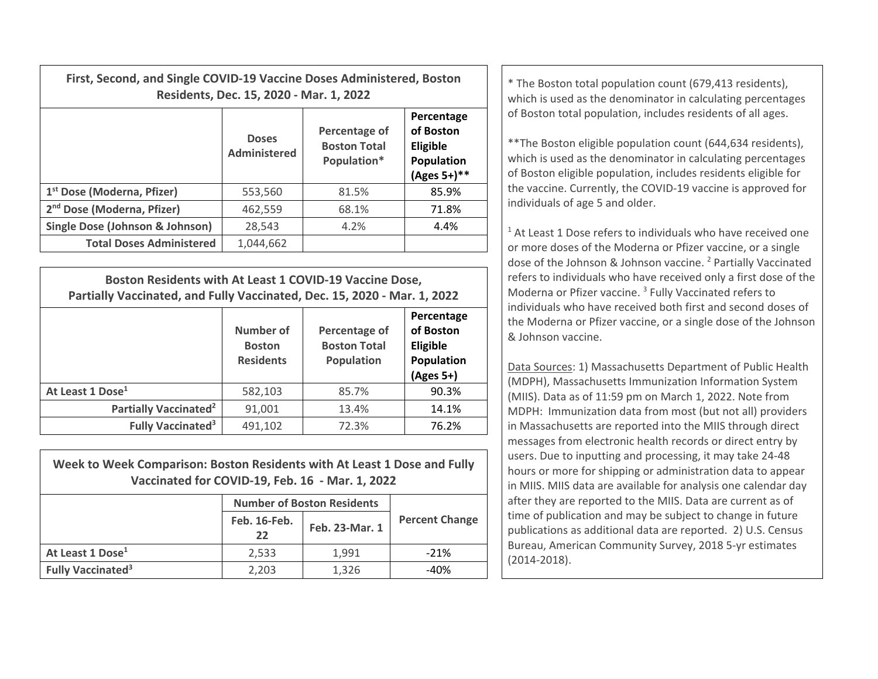| First, Second, and Single COVID-19 Vaccine Doses Administered, Boston<br>Residents, Dec. 15, 2020 - Mar. 1, 2022 |                              |                                                     |                                                                            | * The Boston total population count (679,413 residents),<br>which is used as the denominator in calculating percentages                                                                                                                                      |
|------------------------------------------------------------------------------------------------------------------|------------------------------|-----------------------------------------------------|----------------------------------------------------------------------------|--------------------------------------------------------------------------------------------------------------------------------------------------------------------------------------------------------------------------------------------------------------|
|                                                                                                                  | <b>Doses</b><br>Administered | Percentage of<br><b>Boston Total</b><br>Population* | Percentage<br>of Boston<br><b>Eligible</b><br>Population<br>$(Ages 5+)$ ** | of Boston total population, includes residents of all ages.<br>** The Boston eligible population count (644,634 residents),<br>which is used as the denominator in calculating percentages<br>of Boston eligible population, includes residents eligible for |
| 1 <sup>st</sup> Dose (Moderna, Pfizer)                                                                           | 553,560                      | 81.5%                                               | 85.9%                                                                      | the vaccine. Currently, the COVID-19 vaccine is approved for                                                                                                                                                                                                 |
| 2 <sup>nd</sup> Dose (Moderna, Pfizer)                                                                           | 462,559                      | 68.1%                                               | 71.8%                                                                      | individuals of age 5 and older.                                                                                                                                                                                                                              |
| Single Dose (Johnson & Johnson)                                                                                  | 28,543                       | 4.2%                                                | 4.4%                                                                       | <sup>1</sup> At Least 1 Dose refers to individuals who have received on                                                                                                                                                                                      |
| <b>Total Doses Administered</b>                                                                                  | 1,044,662                    |                                                     |                                                                            | or more doses of the Moderna or Pfizer vaccine, or a single                                                                                                                                                                                                  |

| Boston Residents with At Least 1 COVID-19 Vaccine Dose,<br>Partially Vaccinated, and Fully Vaccinated, Dec. 15, 2020 - Mar. 1, 2022 |                                                |                                                           |                                                                  |  |  |
|-------------------------------------------------------------------------------------------------------------------------------------|------------------------------------------------|-----------------------------------------------------------|------------------------------------------------------------------|--|--|
|                                                                                                                                     | Number of<br><b>Boston</b><br><b>Residents</b> | Percentage of<br><b>Boston Total</b><br><b>Population</b> | Percentage<br>of Boston<br>Eligible<br>Population<br>$(Ages 5+)$ |  |  |
| At Least 1 Dose <sup>1</sup>                                                                                                        | 582,103                                        | 85.7%                                                     | 90.3%                                                            |  |  |
| Partially Vaccinated <sup>2</sup>                                                                                                   | 91,001                                         | 13.4%                                                     | 14.1%                                                            |  |  |
| <b>Fully Vaccinated<sup>3</sup></b>                                                                                                 | 491,102                                        | 72.3%                                                     | 76.2%                                                            |  |  |

| Week to Week Comparison: Boston Residents with At Least 1 Dose and Fully<br>Vaccinated for COVID-19, Feb. 16 - Mar. 1, 2022 |                                   |                |                       |  |  |
|-----------------------------------------------------------------------------------------------------------------------------|-----------------------------------|----------------|-----------------------|--|--|
|                                                                                                                             | <b>Number of Boston Residents</b> |                |                       |  |  |
|                                                                                                                             | Feb. 16-Feb.                      | Feb. 23-Mar. 1 | <b>Percent Change</b> |  |  |
|                                                                                                                             | 22                                |                |                       |  |  |
| At Least 1 Dose <sup>1</sup>                                                                                                | 2.533                             | 1,991          | $-21%$                |  |  |
| <b>Fully Vaccinated<sup>3</sup></b>                                                                                         | 2,203                             | 1,326          | $-40%$                |  |  |

 $1$  At Least 1 Dose refers to individuals who have received one or more doses of the Moderna or Pfizer vaccine, or <sup>a</sup> single dose of the Johnson & Johnson vaccine. <sup>2</sup> Partially Vaccinated refers to individuals who have received only <sup>a</sup> first dose of the Moderna or Pfizer vaccine. <sup>3</sup> Fully Vaccinated refers to individuals who have received both first and second doses of the Moderna or Pfizer vaccine, or <sup>a</sup> single dose of the Johnson & Johnson vaccine.

Data Sources: 1) Massachusetts Department of Public Health (MDPH), Massachusetts Immunization Information System (MIIS). Data as of 11:59 pm on March 1, 2022. Note from MDPH: Immunization data from most (but not all) providers in Massachusetts are reported into the MIIS through direct messages from electronic health records or direct entry by users. Due to inputting and processing, it may take 24‐48 hours or more for shipping or administration data to appear in MIIS. MIIS data are available for analysis one calendar day after they are reported to the MIIS. Data are current as of time of publication and may be subject to change in future publications as additional data are reported. 2) U.S. Census Bureau, American Community Survey, 2018 5‐yr estimates (2014‐2018).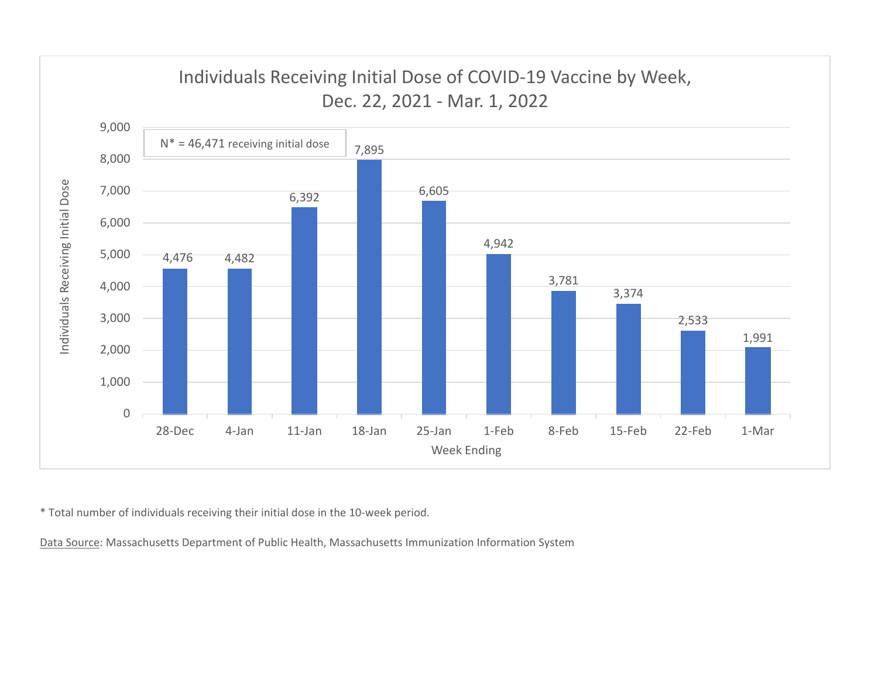

\* Total number of individuals receiving their initial dose in the 10‐week period.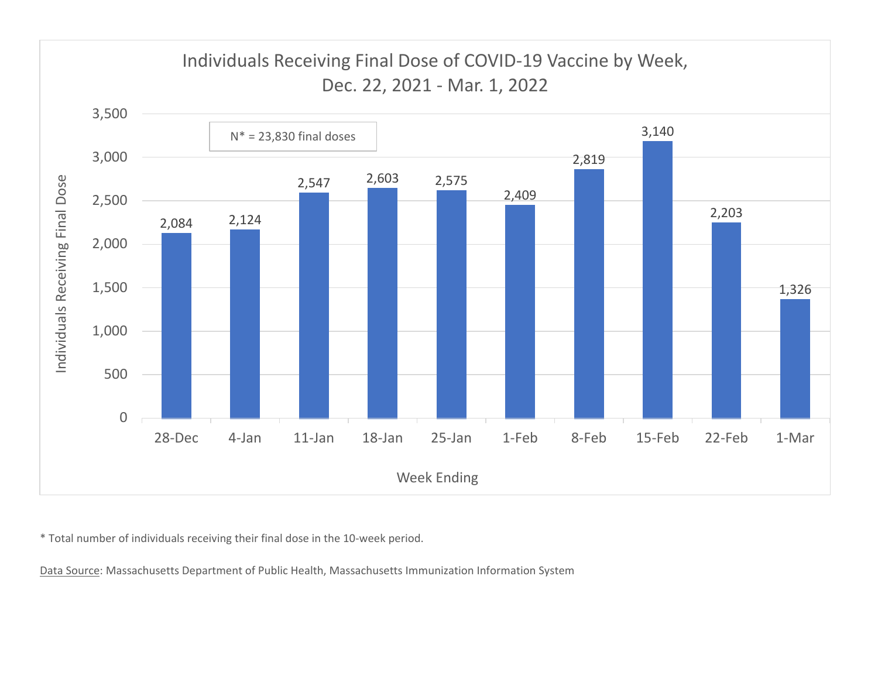

\* Total number of individuals receiving their final dose in the 10‐week period.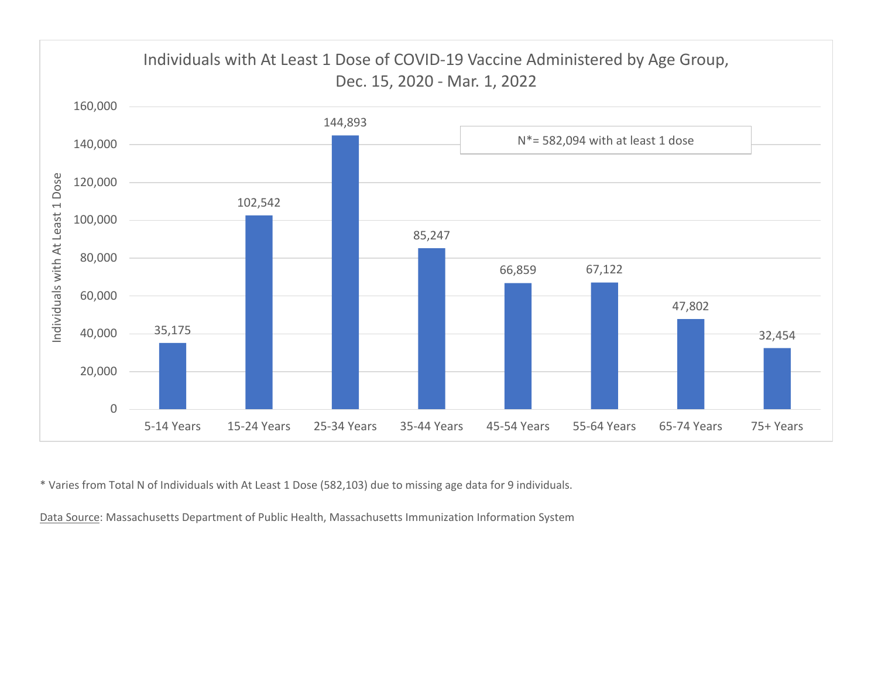

\* Varies from Total N of Individuals with At Least 1 Dose (582,103) due to missing age data for 9 individuals.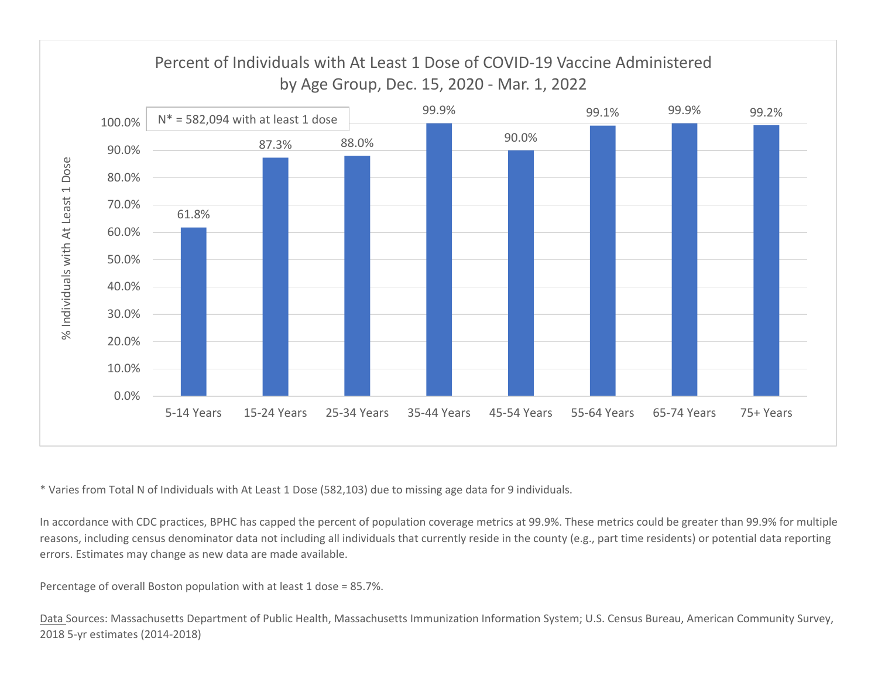

\* Varies from Total N of Individuals with At Least 1 Dose (582,103) due to missing age data for 9 individuals.

In accordance with CDC practices, BPHC has capped the percent of population coverage metrics at 99.9%. These metrics could be greater than 99.9% for multiple reasons, including census denominator data not including all individuals that currently reside in the county (e.g., part time residents) or potential data reporting errors. Estimates may change as new data are made available.

Percentage of overall Boston population with at least 1 dose <sup>=</sup> 85.7%.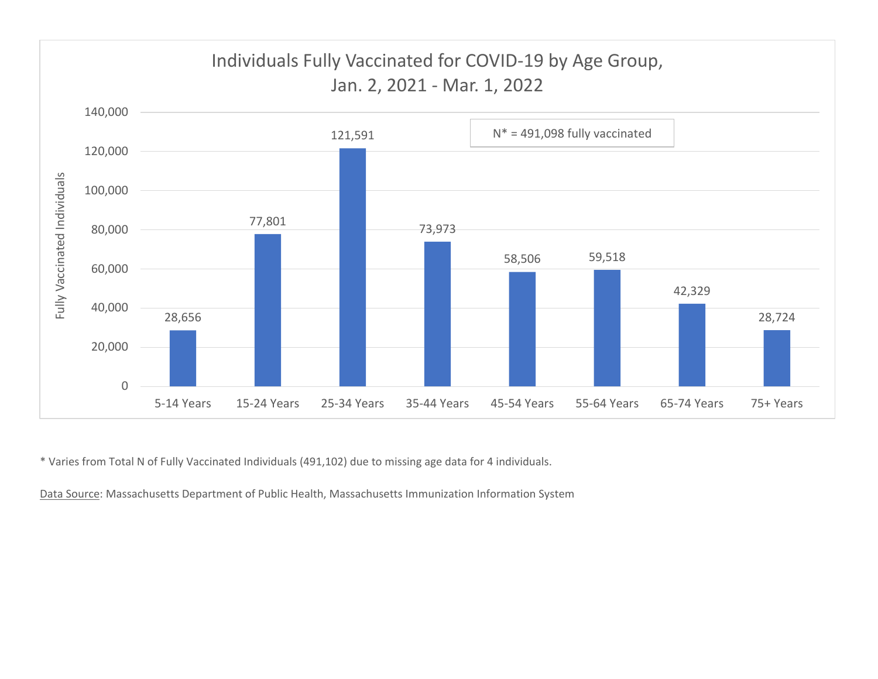

\* Varies from Total N of Fully Vaccinated Individuals (491,102) due to missing age data for 4 individuals.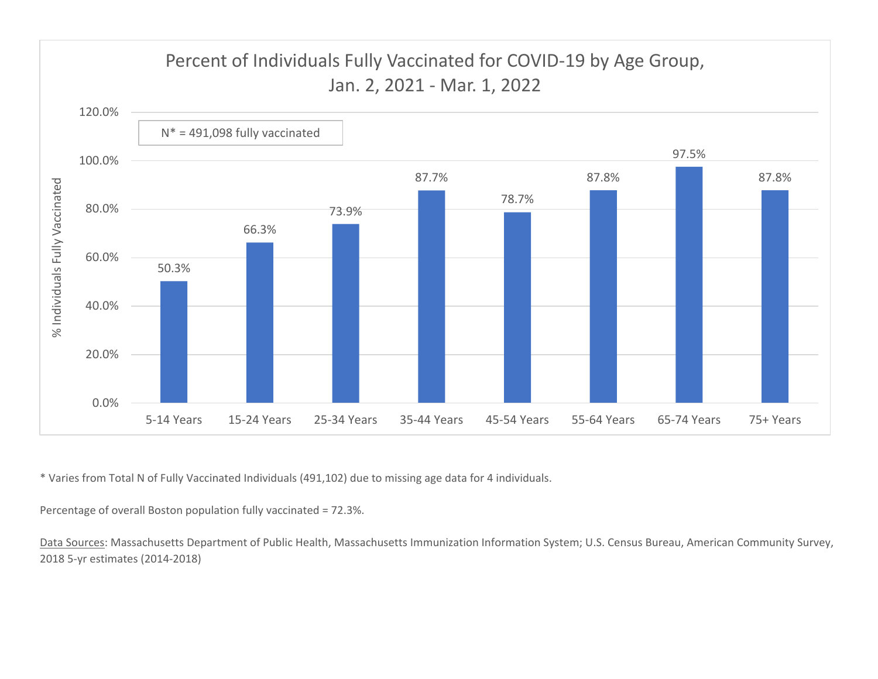

\* Varies from Total N of Fully Vaccinated Individuals (491,102) due to missing age data for 4 individuals.

Percentage of overall Boston population fully vaccinated <sup>=</sup> 72.3%.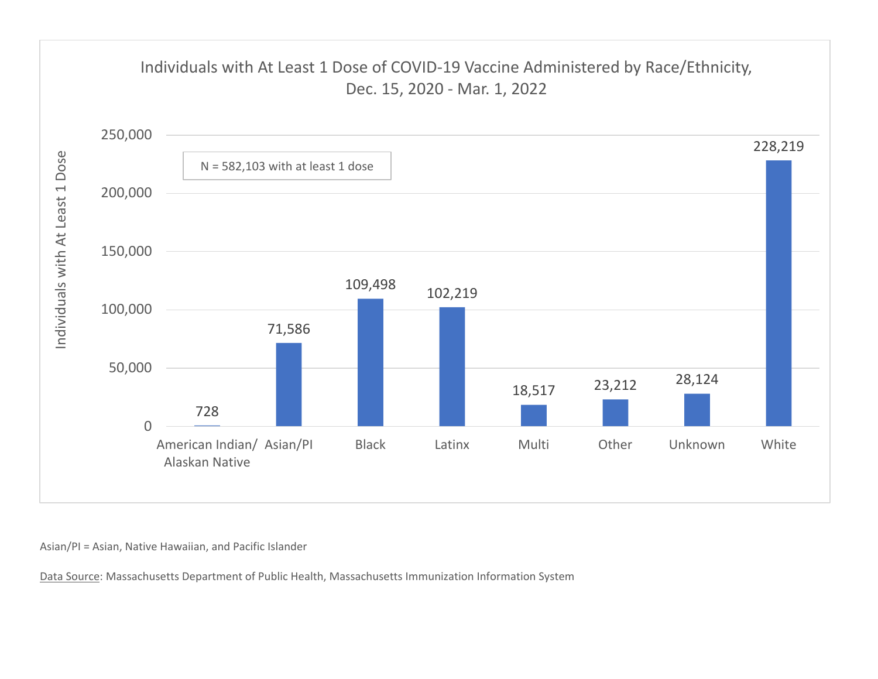

Asian/PI <sup>=</sup> Asian, Native Hawaiian, and Pacific Islander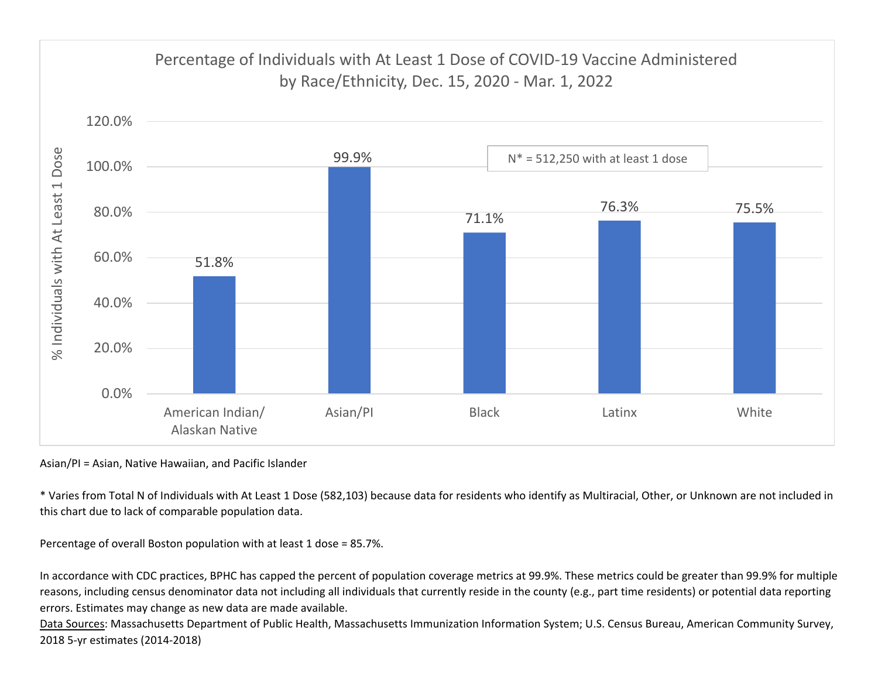

Asian/PI <sup>=</sup> Asian, Native Hawaiian, and Pacific Islander

\* Varies from Total N of Individuals with At Least 1 Dose (582,103) because data for residents who identify as Multiracial, Other, or Unknown are not included in this chart due to lack of comparable population data.

Percentage of overall Boston population with at least 1 dose <sup>=</sup> 85.7%.

In accordance with CDC practices, BPHC has capped the percent of population coverage metrics at 99.9%. These metrics could be greater than 99.9% for multiple reasons, including census denominator data not including all individuals that currently reside in the county (e.g., part time residents) or potential data reporting errors. Estimates may change as new data are made available.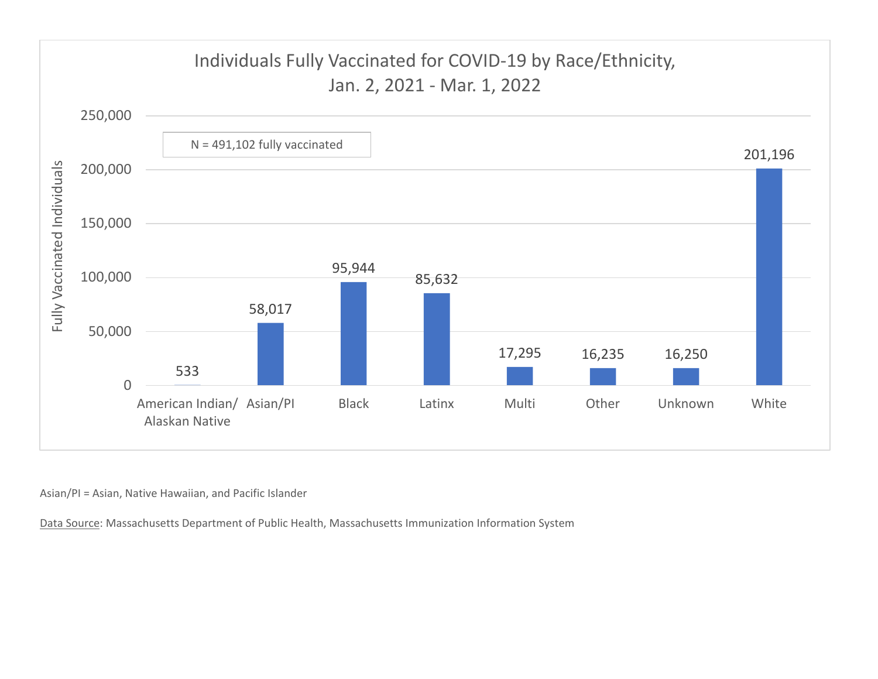

Asian/PI <sup>=</sup> Asian, Native Hawaiian, and Pacific Islander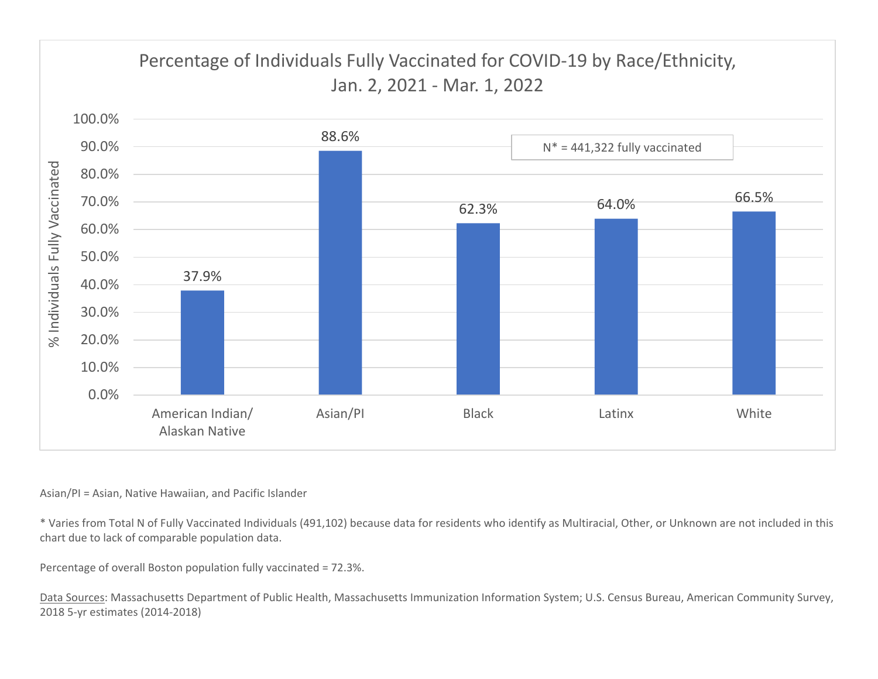

## Asian/PI <sup>=</sup> Asian, Native Hawaiian, and Pacific Islander

\* Varies from Total N of Fully Vaccinated Individuals (491,102) because data for residents who identify as Multiracial, Other, or Unknown are not included in this chart due to lack of comparable population data.

Percentage of overall Boston population fully vaccinated <sup>=</sup> 72.3%.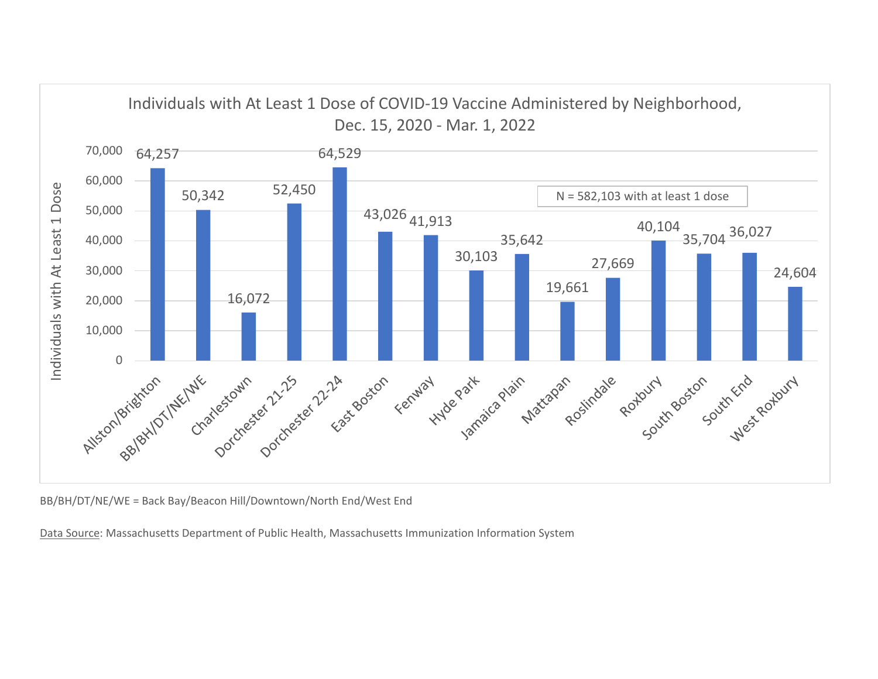

BB/BH/DT/NE/WE <sup>=</sup> Back Bay/Beacon Hill/Downtown/North End/West End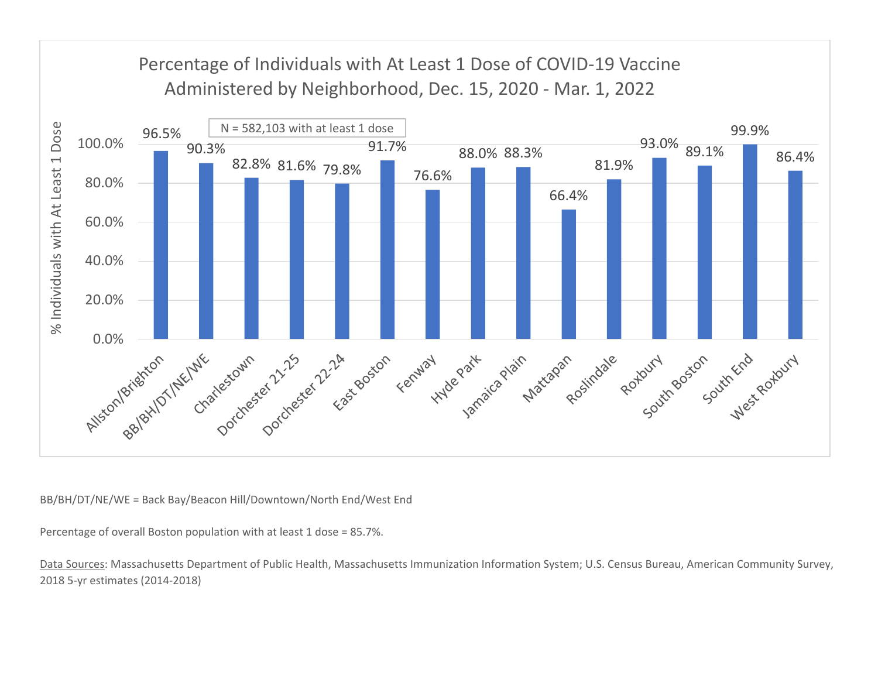

BB/BH/DT/NE/WE <sup>=</sup> Back Bay/Beacon Hill/Downtown/North End/West End

Percentage of overall Boston population with at least 1 dose <sup>=</sup> 85.7%.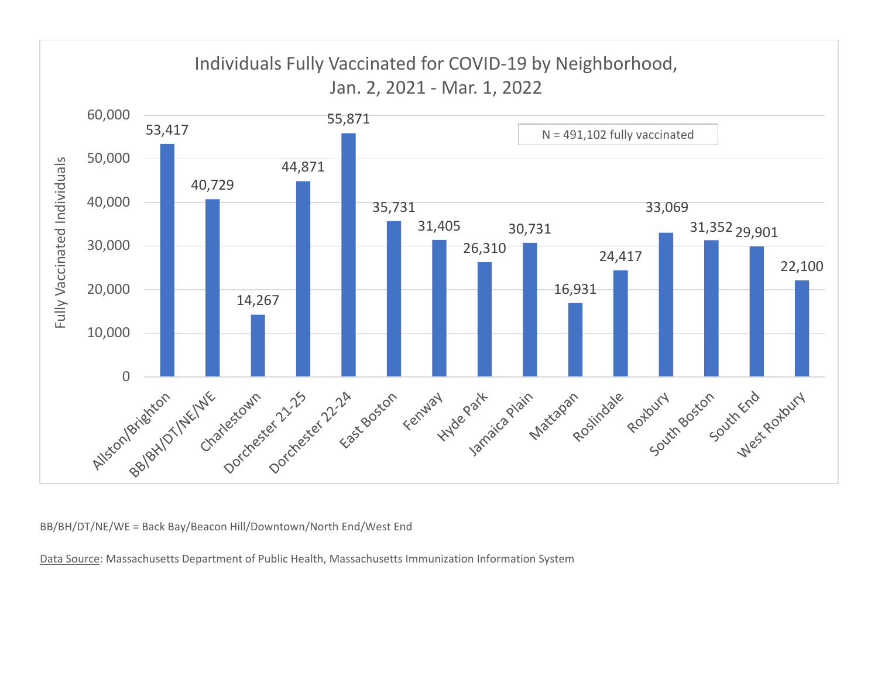

BB/BH/DT/NE/WE <sup>=</sup> Back Bay/Beacon Hill/Downtown/North End/West End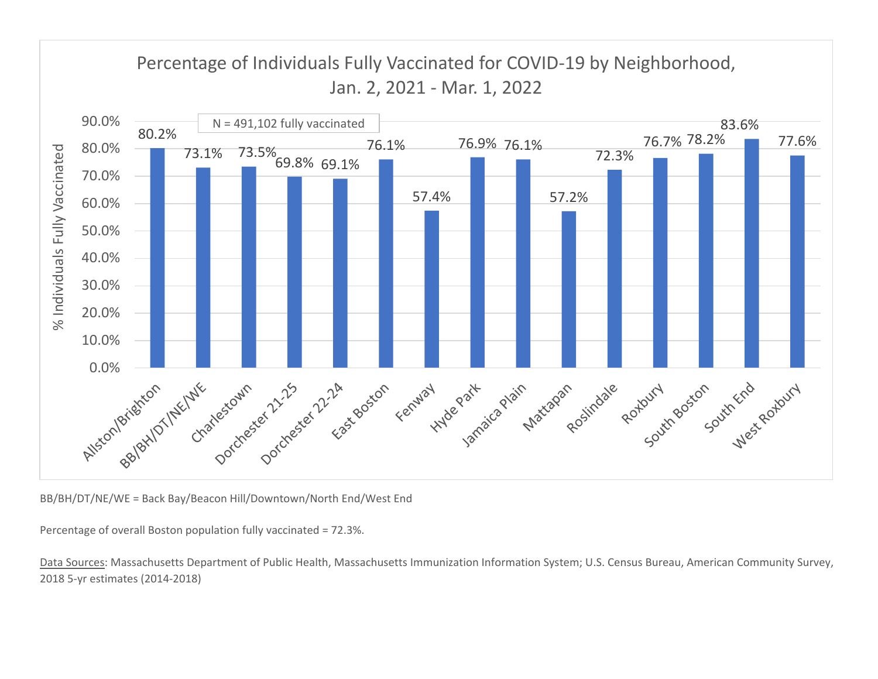

BB/BH/DT/NE/WE <sup>=</sup> Back Bay/Beacon Hill/Downtown/North End/West End

Percentage of overall Boston population fully vaccinated <sup>=</sup> 72.3%.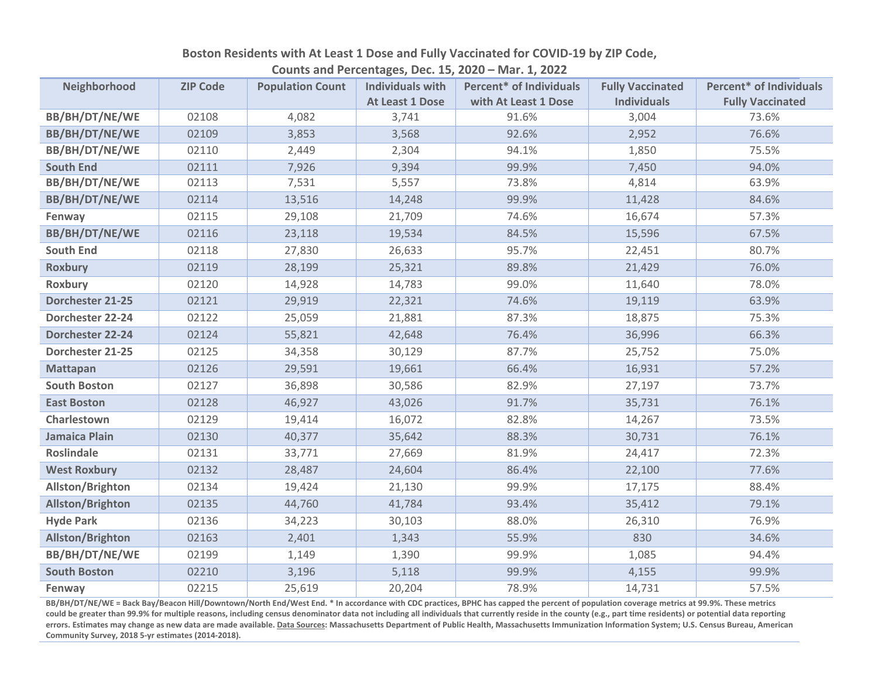| Neighborhood            | <b>ZIP Code</b> | <b>Population Count</b> | <b>Individuals with</b> | <b>Percent* of Individuals</b> | <b>Fully Vaccinated</b> | <b>Percent* of Individuals</b> |
|-------------------------|-----------------|-------------------------|-------------------------|--------------------------------|-------------------------|--------------------------------|
|                         |                 |                         | At Least 1 Dose         | with At Least 1 Dose           | <b>Individuals</b>      | <b>Fully Vaccinated</b>        |
| <b>BB/BH/DT/NE/WE</b>   | 02108           | 4,082                   | 3,741                   | 91.6%                          | 3,004                   | 73.6%                          |
| <b>BB/BH/DT/NE/WE</b>   | 02109           | 3,853                   | 3,568                   | 92.6%                          | 2,952                   | 76.6%                          |
| <b>BB/BH/DT/NE/WE</b>   | 02110           | 2,449                   | 2,304                   | 94.1%                          | 1,850                   | 75.5%                          |
| <b>South End</b>        | 02111           | 7,926                   | 9,394                   | 99.9%                          | 7,450                   | 94.0%                          |
| <b>BB/BH/DT/NE/WE</b>   | 02113           | 7,531                   | 5,557                   | 73.8%                          | 4,814                   | 63.9%                          |
| <b>BB/BH/DT/NE/WE</b>   | 02114           | 13,516                  | 14,248                  | 99.9%                          | 11,428                  | 84.6%                          |
| Fenway                  | 02115           | 29,108                  | 21,709                  | 74.6%                          | 16,674                  | 57.3%                          |
| <b>BB/BH/DT/NE/WE</b>   | 02116           | 23,118                  | 19,534                  | 84.5%                          | 15,596                  | 67.5%                          |
| <b>South End</b>        | 02118           | 27,830                  | 26,633                  | 95.7%                          | 22,451                  | 80.7%                          |
| <b>Roxbury</b>          | 02119           | 28,199                  | 25,321                  | 89.8%                          | 21,429                  | 76.0%                          |
| Roxbury                 | 02120           | 14,928                  | 14,783                  | 99.0%                          | 11,640                  | 78.0%                          |
| Dorchester 21-25        | 02121           | 29,919                  | 22,321                  | 74.6%                          | 19,119                  | 63.9%                          |
| Dorchester 22-24        | 02122           | 25,059                  | 21,881                  | 87.3%                          | 18,875                  | 75.3%                          |
| <b>Dorchester 22-24</b> | 02124           | 55,821                  | 42,648                  | 76.4%                          | 36,996                  | 66.3%                          |
| Dorchester 21-25        | 02125           | 34,358                  | 30,129                  | 87.7%                          | 25,752                  | 75.0%                          |
| Mattapan                | 02126           | 29,591                  | 19,661                  | 66.4%                          | 16,931                  | 57.2%                          |
| <b>South Boston</b>     | 02127           | 36,898                  | 30,586                  | 82.9%                          | 27,197                  | 73.7%                          |
| <b>East Boston</b>      | 02128           | 46,927                  | 43,026                  | 91.7%                          | 35,731                  | 76.1%                          |
| Charlestown             | 02129           | 19,414                  | 16,072                  | 82.8%                          | 14,267                  | 73.5%                          |
| <b>Jamaica Plain</b>    | 02130           | 40,377                  | 35,642                  | 88.3%                          | 30,731                  | 76.1%                          |
| Roslindale              | 02131           | 33,771                  | 27,669                  | 81.9%                          | 24,417                  | 72.3%                          |
| <b>West Roxbury</b>     | 02132           | 28,487                  | 24,604                  | 86.4%                          | 22,100                  | 77.6%                          |
| Allston/Brighton        | 02134           | 19,424                  | 21,130                  | 99.9%                          | 17,175                  | 88.4%                          |
| Allston/Brighton        | 02135           | 44,760                  | 41,784                  | 93.4%                          | 35,412                  | 79.1%                          |
| <b>Hyde Park</b>        | 02136           | 34,223                  | 30,103                  | 88.0%                          | 26,310                  | 76.9%                          |
| Allston/Brighton        | 02163           | 2,401                   | 1,343                   | 55.9%                          | 830                     | 34.6%                          |
| <b>BB/BH/DT/NE/WE</b>   | 02199           | 1,149                   | 1,390                   | 99.9%                          | 1,085                   | 94.4%                          |
| <b>South Boston</b>     | 02210           | 3,196                   | 5,118                   | 99.9%                          | 4,155                   | 99.9%                          |
| Fenway                  | 02215           | 25,619                  | 20,204                  | 78.9%                          | 14,731                  | 57.5%                          |

**Boston Residents with At Least 1 Dose and Fully Vaccinated for COVID‐19 by ZIP Code,**

**Counts and Percentages, Dec. 15, 2020 – Mar. 1, 2022**

BB/BH/DT/NE/WE = Back Bay/Beacon Hill/Downtown/North End/West End. \* In accordance with CDC practices, BPHC has capped the percent of population coverage metrics at 99.9%. These metrics could be greater than 99.9% for multiple reasons, including census denominator data not including all individuals that currently reside in the county (e.g., part time residents) or potential data reporting errors. Estimates may change as new data are made available. <u>Data Sources</u>: Massachusetts Department of Public Health, Massachusetts Immunization Information System; U.S. Census Bureau, American **Community Survey, 2018 5‐yr estimates (2014‐2018).**